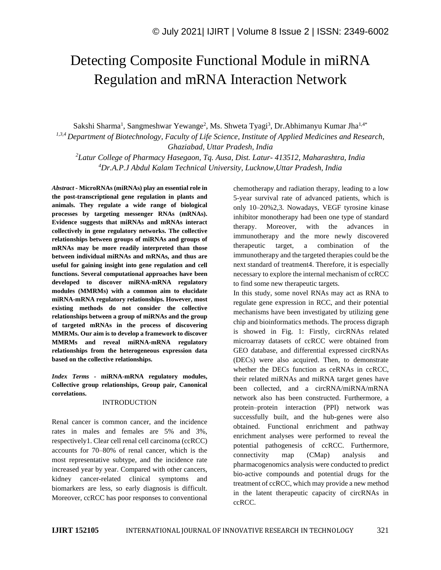# Detecting Composite Functional Module in miRNA Regulation and mRNA Interaction Network

Sakshi Sharma<sup>1</sup>, Sangmeshwar Yewange<sup>2</sup>, Ms. Shweta Tyagi<sup>3</sup>, Dr.Abhimanyu Kumar Jha<sup>1,4\*</sup>

*1,3,4 Department of Biotechnology, Faculty of Life Science, Institute of Applied Medicines and Research, Ghaziabad, Uttar Pradesh, India*

*<sup>2</sup>Latur College of Pharmacy Hasegaon, Tq. Ausa, Dist. Latur- 413512, Maharashtra, India <sup>4</sup>Dr.A.P.J Abdul Kalam Technical University, Lucknow,Uttar Pradesh, India*

*Abstract -* **MicroRNAs (miRNAs) play an essential role in the post-transcriptional gene regulation in plants and animals. They regulate a wide range of biological processes by targeting messenger RNAs (mRNAs). Evidence suggests that miRNAs and mRNAs interact collectively in gene regulatory networks. The collective relationships between groups of miRNAs and groups of mRNAs may be more readily interpreted than those between individual miRNAs and mRNAs, and thus are useful for gaining insight into gene regulation and cell functions. Several computational approaches have been developed to discover miRNA-mRNA regulatory modules (MMRMs) with a common aim to elucidate miRNA-mRNA regulatory relationships. However, most existing methods do not consider the collective relationships between a group of miRNAs and the group of targeted mRNAs in the process of discovering MMRMs. Our aim is to develop a framework to discover MMRMs and reveal miRNA-mRNA regulatory relationships from the heterogeneous expression data based on the collective relationships.**

*Index Terms -* **miRNA-mRNA regulatory modules, Collective group relationships, Group pair, Canonical correlations.**

#### INTRODUCTION

Renal cancer is common cancer, and the incidence rates in males and females are 5% and 3%, respectively1. Clear cell renal cell carcinoma (ccRCC) accounts for 70–80% of renal cancer, which is the most representative subtype, and the incidence rate increased year by year. Compared with other cancers, kidney cancer-related clinical symptoms and biomarkers are less, so early diagnosis is difficult. Moreover, ccRCC has poor responses to conventional chemotherapy and radiation therapy, leading to a low 5-year survival rate of advanced patients, which is only 10–20%2,3. Nowadays, VEGF tyrosine kinase inhibitor monotherapy had been one type of standard therapy. Moreover, with the advances in immunotherapy and the more newly discovered therapeutic target, a combination of the immunotherapy and the targeted therapies could be the next standard of treatment4. Therefore, it is especially necessary to explore the internal mechanism of ccRCC to find some new therapeutic targets.

In this study, some novel RNAs may act as RNA to regulate gene expression in RCC, and their potential mechanisms have been investigated by utilizing gene chip and bioinformatics methods. The process digraph is showed in Fig. 1: Firstly, circRNAs related microarray datasets of ccRCC were obtained from GEO database, and differential expressed circRNAs (DECs) were also acquired. Then, to demonstrate whether the DECs function as ceRNAs in ccRCC, their related miRNAs and miRNA target genes have been collected, and a circRNA/miRNA/mRNA network also has been constructed. Furthermore, a protein–protein interaction (PPI) network was successfully built, and the hub-genes were also obtained. Functional enrichment and pathway enrichment analyses were performed to reveal the potential pathogenesis of ccRCC. Furthermore, connectivity map (CMap) analysis and pharmacogenomics analysis were conducted to predict bio-active compounds and potential drugs for the treatment of ccRCC, which may provide a new method in the latent therapeutic capacity of circRNAs in ccRCC.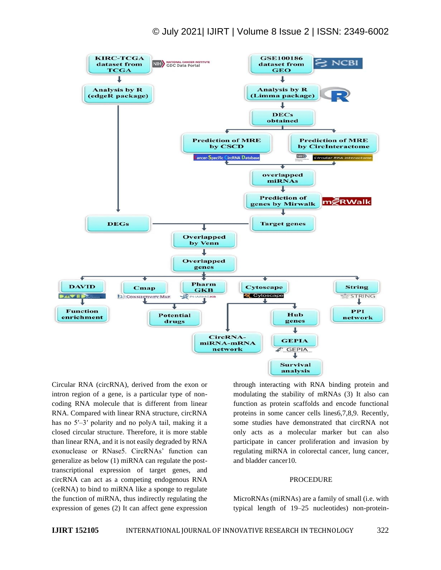

Circular RNA (circRNA), derived from the exon or intron region of a gene, is a particular type of noncoding RNA molecule that is different from linear RNA. Compared with linear RNA structure, circRNA has no 5′–3′ polarity and no polyA tail, making it a closed circular structure. Therefore, it is more stable than linear RNA, and it is not easily degraded by RNA exonuclease or RNase5. CircRNAs' function can generalize as below (1) miRNA can regulate the posttranscriptional expression of target genes, and circRNA can act as a competing endogenous RNA (ceRNA) to bind to miRNA like a sponge to regulate the function of miRNA, thus indirectly regulating the expression of genes (2) It can affect gene expression

through interacting with RNA binding protein and modulating the stability of mRNAs (3) It also can function as protein scaffolds and encode functional proteins in some cancer cells lines6,7,8,9. Recently, some studies have demonstrated that circRNA not only acts as a molecular marker but can also participate in cancer proliferation and invasion by regulating miRNA in colorectal cancer, lung cancer, and bladder cancer10.

# **PROCEDURE**

MicroRNAs (miRNAs) are a family of small (i.e. with typical length of 19–25 nucleotides) non-protein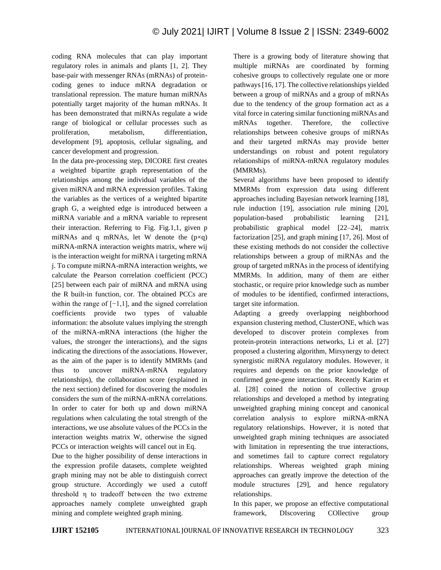coding RNA molecules that can play important regulatory roles in animals and plants [1, 2]. They base-pair with messenger RNAs (mRNAs) of proteincoding genes to induce mRNA degradation or translational repression. The mature human miRNAs potentially target majority of the human mRNAs. It has been demonstrated that miRNAs regulate a wide range of biological or cellular processes such as proliferation, metabolism, differentiation, development [9], apoptosis, cellular signaling, and cancer development and progression.

In the data pre-processing step, DICORE first creates a weighted bipartite graph representation of the relationships among the individual variables of the given miRNA and mRNA expression profiles. Taking the variables as the vertices of a weighted bipartite graph G, a weighted edge is introduced between a miRNA variable and a mRNA variable to represent their interaction. Referring to Fig. Fig.1,1, given p miRNAs and q mRNAs, let W denote the  $(p \times q)$ miRNA-mRNA interaction weights matrix, where wij is the interaction weight for miRNA i targeting mRNA j. To compute miRNA-mRNA interaction weights, we calculate the Pearson correlation coefficient (PCC) [25] between each pair of miRNA and mRNA using the R built-in function, cor. The obtained PCCs are within the range of  $[-1,1]$ , and the signed correlation coefficients provide two types of valuable information: the absolute values implying the strength of the miRNA-mRNA interactions (the higher the values, the stronger the interactions), and the signs indicating the directions of the associations. However, as the aim of the paper is to identify MMRMs (and thus to uncover miRNA-mRNA regulatory relationships), the collaboration score (explained in the next section) defined for discovering the modules considers the sum of the miRNA-mRNA correlations. In order to cater for both up and down miRNA regulations when calculating the total strength of the interactions, we use absolute values of the PCCs in the interaction weights matrix W, otherwise the signed PCCs or interaction weights will cancel out in Eq.

Due to the higher possibility of dense interactions in the expression profile datasets, complete weighted graph mining may not be able to distinguish correct group structure. Accordingly we used a cutoff threshold η to tradeoff between the two extreme approaches namely complete unweighted graph mining and complete weighted graph mining.

There is a growing body of literature showing that multiple miRNAs are coordinated by forming cohesive groups to collectively regulate one or more pathways [16, 17]. The collective relationships yielded between a group of miRNAs and a group of mRNAs due to the tendency of the group formation act as a vital force in catering similar functioning miRNAs and mRNAs together. Therefore, the collective relationships between cohesive groups of miRNAs and their targeted mRNAs may provide better understandings on robust and potent regulatory relationships of miRNA-mRNA regulatory modules (MMRMs).

Several algorithms have been proposed to identify MMRMs from expression data using different approaches including Bayesian network learning [18], rule induction [19], association rule mining [20], population-based probabilistic learning [21], probabilistic graphical model [22–24], matrix factorization [25], and graph mining [17, 26]. Most of these existing methods do not consider the collective relationships between a group of miRNAs and the group of targeted mRNAs in the process of identifying MMRMs. In addition, many of them are either stochastic, or require prior knowledge such as number of modules to be identified, confirmed interactions, target site information.

Adapting a greedy overlapping neighborhood expansion clustering method, ClusterONE, which was developed to discover protein complexes from protein-protein interactions networks, Li et al. [27] proposed a clustering algorithm, Mirsynergy to detect synergistic miRNA regulatory modules. However, it requires and depends on the prior knowledge of confirmed gene-gene interactions. Recently Karim et al. [28] coined the notion of collective group relationships and developed a method by integrating unweighted graphing mining concept and canonical correlation analysis to explore miRNA-mRNA regulatory relationships. However, it is noted that unweighted graph mining techniques are associated with limitation in representing the true interactions, and sometimes fail to capture correct regulatory relationships. Whereas weighted graph mining approaches can greatly improve the detection of the module structures [29], and hence regulatory relationships.

In this paper, we propose an effective computational framework, DIscovering COllective group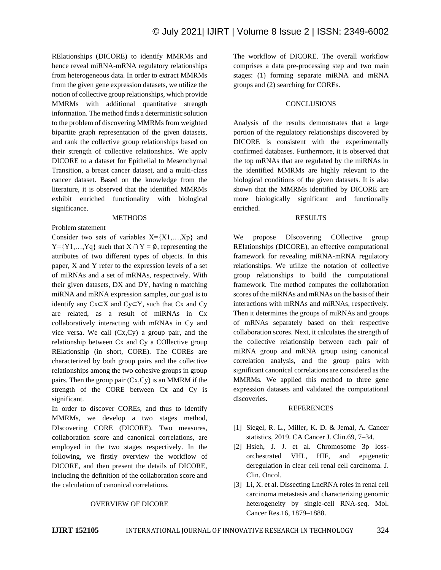RElationships (DICORE) to identify MMRMs and hence reveal miRNA-mRNA regulatory relationships from heterogeneous data. In order to extract MMRMs from the given gene expression datasets, we utilize the notion of collective group relationships, which provide MMRMs with additional quantitative strength information. The method finds a deterministic solution to the problem of discovering MMRMs from weighted bipartite graph representation of the given datasets, and rank the collective group relationships based on their strength of collective relationships. We apply DICORE to a dataset for Epithelial to Mesenchymal Transition, a breast cancer dataset, and a multi-class cancer dataset. Based on the knowledge from the literature, it is observed that the identified MMRMs exhibit enriched functionality with biological significance.

## **METHODS**

Problem statement

Consider two sets of variables  $X = \{X1, \ldots, Xp\}$  and  $Y = \{Y1, \ldots, Yq\}$  such that  $X \cap Y = \emptyset$ , representing the attributes of two different types of objects. In this paper, X and Y refer to the expression levels of a set of miRNAs and a set of mRNAs, respectively. With their given datasets, DX and DY, having n matching miRNA and mRNA expression samples, our goal is to identify any Cx⊂X and Cy⊂Y, such that Cx and Cy are related, as a result of miRNAs in Cx collaboratively interacting with mRNAs in Cy and vice versa. We call  $(Cx,Cy)$  a group pair, and the relationship between Cx and Cy a COllective group RElationship (in short, CORE). The COREs are characterized by both group pairs and the collective relationships among the two cohesive groups in group pairs. Then the group pair (Cx,Cy) is an MMRM if the strength of the CORE between Cx and Cy is significant.

In order to discover COREs, and thus to identify MMRMs, we develop a two stages method, DIscovering CORE (DICORE). Two measures, collaboration score and canonical correlations, are employed in the two stages respectively. In the following, we firstly overview the workflow of DICORE, and then present the details of DICORE, including the definition of the collaboration score and the calculation of canonical correlations.

# OVERVIEW OF DICORE

The workflow of DICORE. The overall workflow comprises a data pre-processing step and two main stages: (1) forming separate miRNA and mRNA groups and (2) searching for COREs.

### **CONCLUSIONS**

Analysis of the results demonstrates that a large portion of the regulatory relationships discovered by DICORE is consistent with the experimentally confirmed databases. Furthermore, it is observed that the top mRNAs that are regulated by the miRNAs in the identified MMRMs are highly relevant to the biological conditions of the given datasets. It is also shown that the MMRMs identified by DICORE are more biologically significant and functionally enriched.

#### RESULTS

We propose DIscovering COllective group RElationships (DICORE), an effective computational framework for revealing miRNA-mRNA regulatory relationships. We utilize the notation of collective group relationships to build the computational framework. The method computes the collaboration scores of the miRNAs and mRNAs on the basis of their interactions with mRNAs and miRNAs, respectively. Then it determines the groups of miRNAs and groups of mRNAs separately based on their respective collaboration scores. Next, it calculates the strength of the collective relationship between each pair of miRNA group and mRNA group using canonical correlation analysis, and the group pairs with significant canonical correlations are considered as the MMRMs. We applied this method to three gene expression datasets and validated the computational discoveries.

#### REFERENCES

- [1] Siegel, R. L., Miller, K. D. & Jemal, A. Cancer statistics, 2019. CA Cancer J. Clin.69, 7–34.
- [2] Hsieh, J. J. et al. Chromosome 3p lossorchestrated VHL, HIF, and epigenetic deregulation in clear cell renal cell carcinoma. J. Clin. Oncol.
- [3] Li, X. et al. Dissecting LncRNA roles in renal cell carcinoma metastasis and characterizing genomic heterogeneity by single-cell RNA-seq. Mol. Cancer Res.16, 1879–1888.